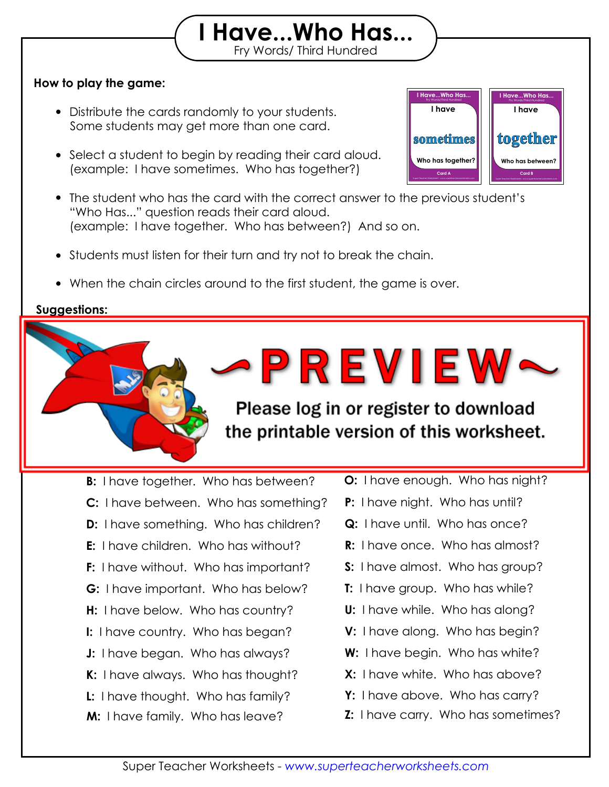## **How to play the game:**

- Distribute the cards randomly to your students. Some students may get more than one card.
- Select a student to begin by reading their card aloud. (example: I have sometimes. Who has together?)



 The student who has the card with the correct answer to the previous student's "Who Has..." question reads their card aloud. (example: I have together. Who has between?) And so on.

Print out the "I Have, Who Has" flashcards on card stock and laminate them so they will

Fry Words/ Third Hundred **I Have...Who Has...**

- Students must listen for their turn and try not to break the chain.
- When the chain circles around to the first student, the game is over.

then see if they can "beat the timer." Set a timer for 2 minutes, 5 minutes,

Challenge the game before the time the grate

## **Suggestions:**

**Answer Chain:**

last for many years to come.

or any amount of the street of the street of the street of the street of the street of the street of the street

**A:** I have sometimes. Who has together? **B:** I have together. Who has between? **D:** I have something. Who has children? **F:** I have without. Who has important? **H:** I have below. Who has country? **J:** I have began. Who has always? **L:** I have thought. Who has family? **M:** I have family. Who has leave? **C:** I have between. Who has something? **E:** I have children. Who has without? **G:** I have important. Who has below? **I:** I have country. Who has began? **K:** I have always. Who has thought?

**O:** I have enough. Who has night?

**N:** I have leave. Who has enough?

**P:** I have night. Who has until?

PREVIEW~

the printable version of this worksheet.

- **Q:** I have until. Who has once?
- **R:** I have once. Who has almost?
- **S:** I have almost. Who has group?
- **T:** I have group. Who has while?
- **U:** I have while. Who has along?
- **V:** I have along. Who has begin?
- **W:** I have begin. Who has white?
- **X:** I have white. Who has above?
- **Y:** I have above. Who has carry?
- **Z:** I have carry. Who has sometimes?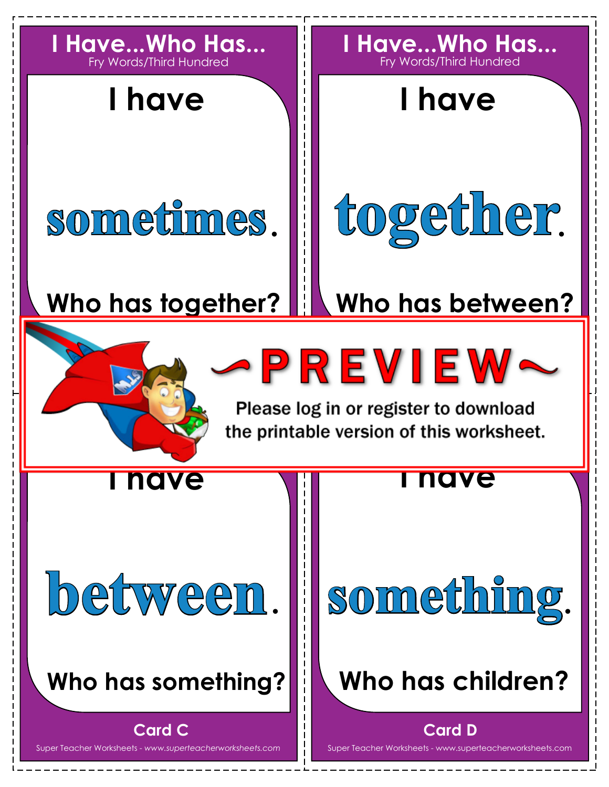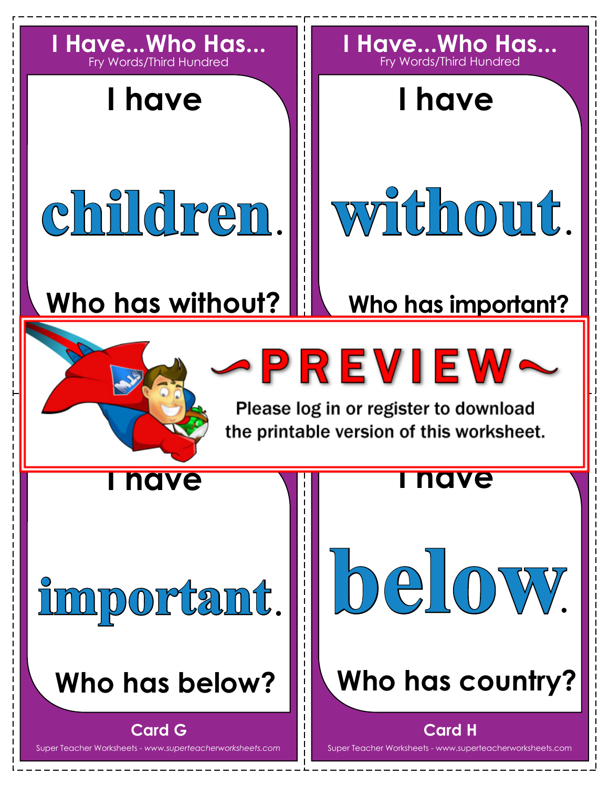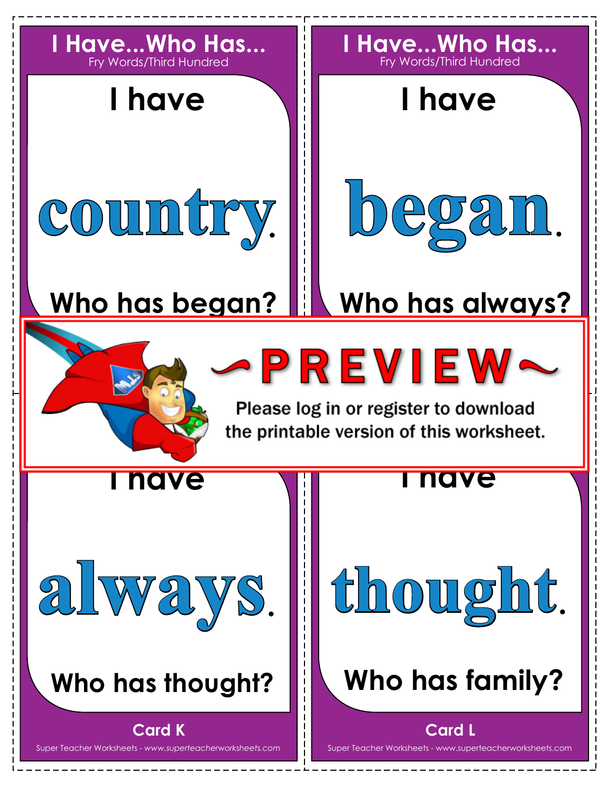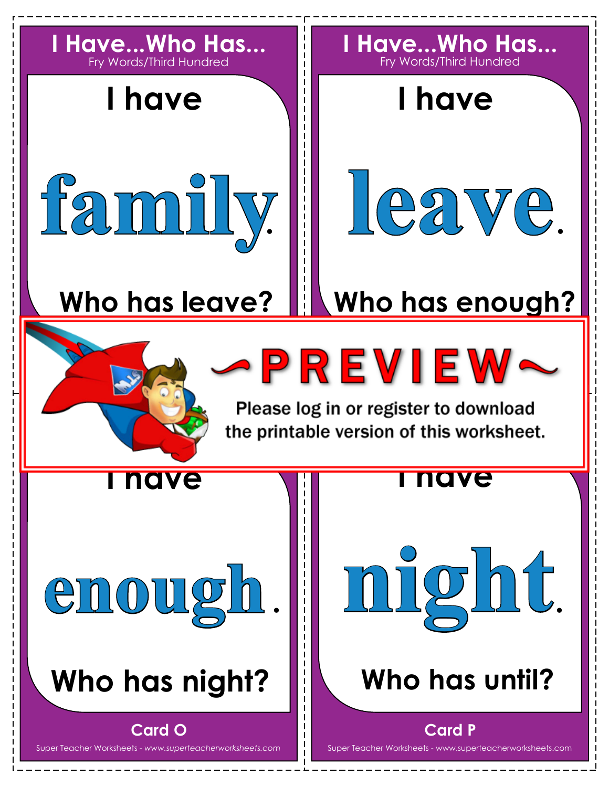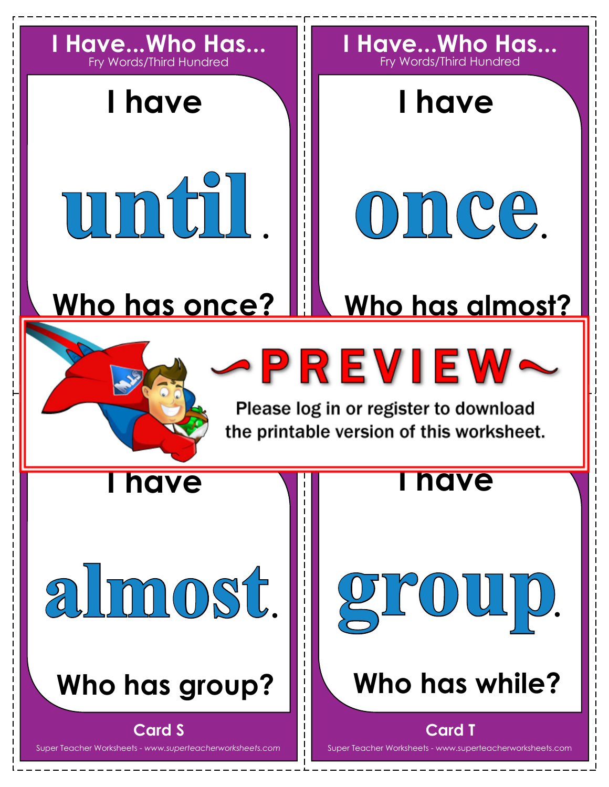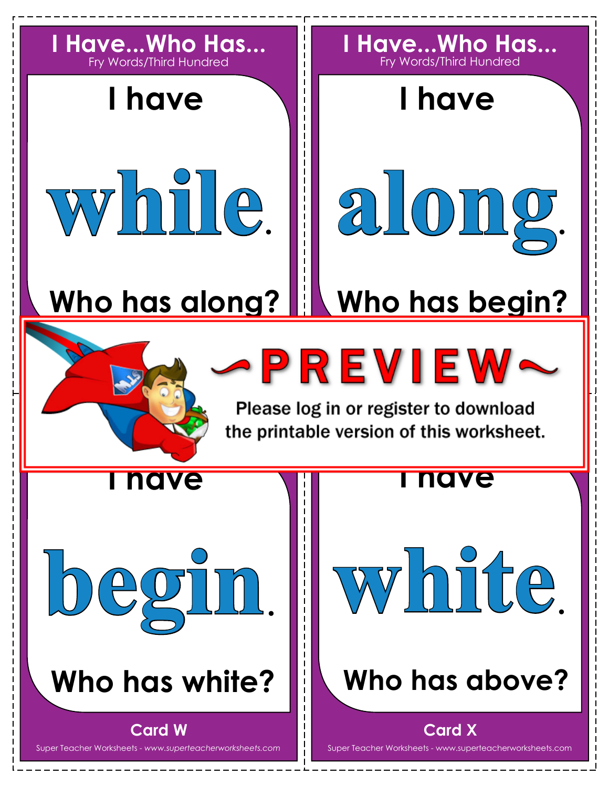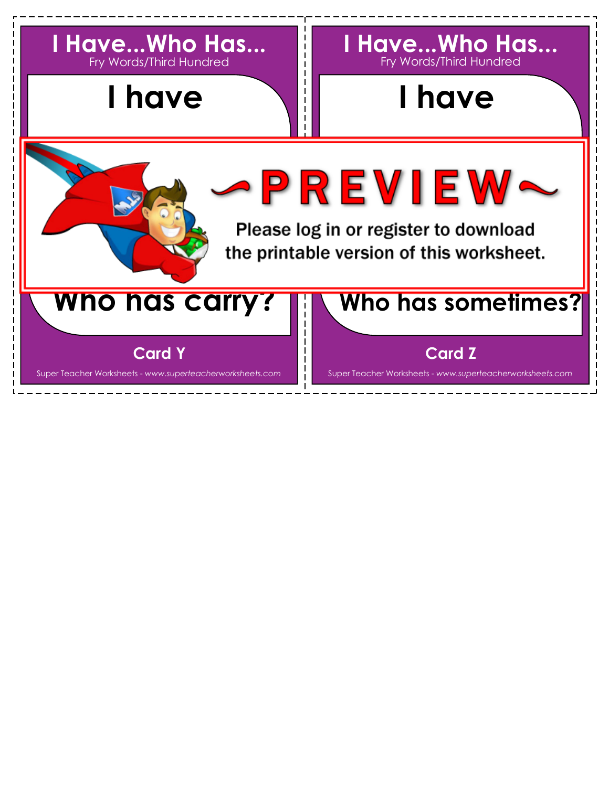